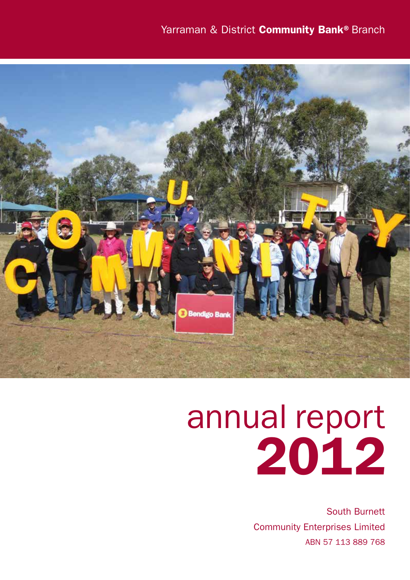## Yarraman & District Community Bank® Branch



# annual report 2012

South Burnett Community Enterprises Limited ABN 57 113 889 768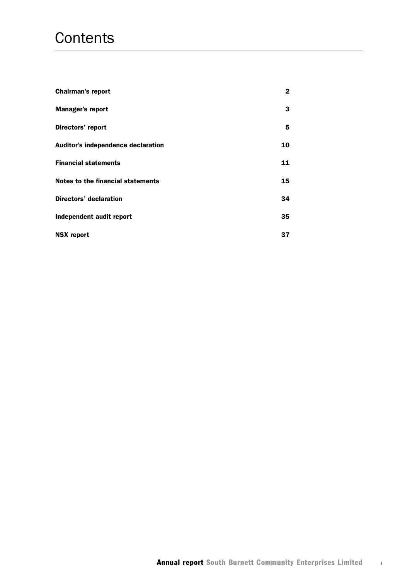## **Contents**

| <b>Chairman's report</b>           | 2  |
|------------------------------------|----|
| Manager's report                   | 3  |
| Directors' report                  | 5  |
| Auditor's independence declaration | 10 |
| <b>Financial statements</b>        | 11 |
| Notes to the financial statements  | 15 |
| Directors' declaration             | 34 |
| Independent audit report           | 35 |
| <b>NSX report</b>                  | 37 |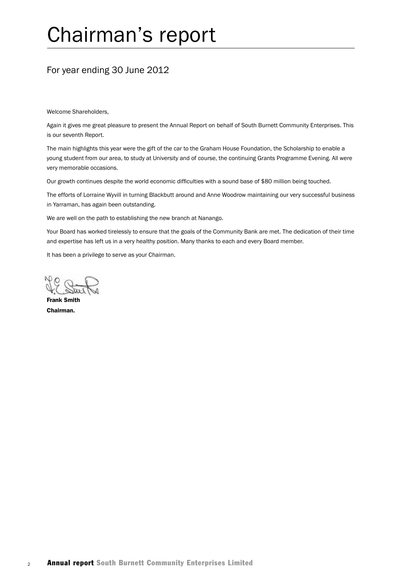## Chairman's report

## For year ending 30 June 2012

Welcome Shareholders,

Again it gives me great pleasure to present the Annual Report on behalf of South Burnett Community Enterprises. This is our seventh Report.

The main highlights this year were the gift of the car to the Graham House Foundation, the Scholarship to enable a young student from our area, to study at University and of course, the continuing Grants Programme Evening. All were very memorable occasions.

Our growth continues despite the world economic difficulties with a sound base of \$80 million being touched.

The efforts of Lorraine Wyvill in turning Blackbutt around and Anne Woodrow maintaining our very successful business in Yarraman, has again been outstanding.

We are well on the path to establishing the new branch at Nanango.

Your Board has worked tirelessly to ensure that the goals of the Community Bank are met. The dedication of their time and expertise has left us in a very healthy position. Many thanks to each and every Board member.

It has been a privilege to serve as your Chairman.

Frank Smith Chairman.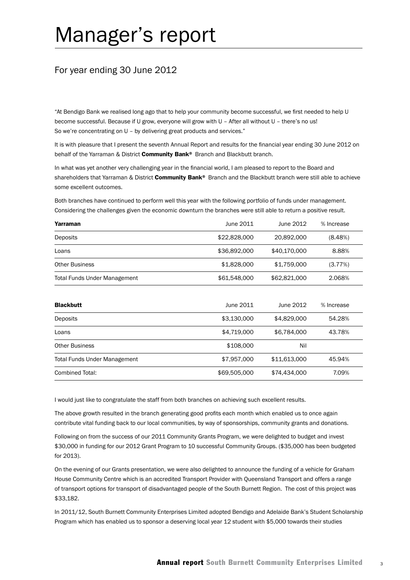## Manager's report

## For year ending 30 June 2012

"At Bendigo Bank we realised long ago that to help your community become successful, we first needed to help U become successful. Because if U grow, everyone will grow with U – After all without U – there's no us! So we're concentrating on U – by delivering great products and services."

It is with pleasure that I present the seventh Annual Report and results for the financial year ending 30 June 2012 on behalf of the Yarraman & District Community Bank® Branch and Blackbutt branch.

In what was yet another very challenging year in the financial world, I am pleased to report to the Board and shareholders that Yarraman & District Community Bank® Branch and the Blackbutt branch were still able to achieve some excellent outcomes.

Both branches have continued to perform well this year with the following portfolio of funds under management. Considering the challenges given the economic downturn the branches were still able to return a positive result.

| Yarraman                            | June 2011    | June 2012    | % Increase |
|-------------------------------------|--------------|--------------|------------|
| Deposits                            | \$22,828,000 | 20,892,000   | (8.48%)    |
| Loans                               | \$36,892,000 | \$40,170,000 | 8.88%      |
| <b>Other Business</b>               | \$1,828,000  | \$1,759,000  | (3.77%)    |
| <b>Total Funds Under Management</b> | \$61,548,000 | \$62,821,000 | 2.068%     |

| <b>Blackbutt</b>                    | June 2011    | June 2012    | % Increase |
|-------------------------------------|--------------|--------------|------------|
| Deposits                            | \$3,130,000  | \$4,829,000  | 54.28%     |
| Loans                               | \$4,719,000  | \$6,784,000  | 43.78%     |
| <b>Other Business</b>               | \$108,000    | Nil          |            |
| <b>Total Funds Under Management</b> | \$7,957,000  | \$11,613,000 | 45.94%     |
| Combined Total:                     | \$69,505,000 | \$74,434,000 | 7.09%      |

I would just like to congratulate the staff from both branches on achieving such excellent results.

The above growth resulted in the branch generating good profits each month which enabled us to once again contribute vital funding back to our local communities, by way of sponsorships, community grants and donations.

Following on from the success of our 2011 Community Grants Program, we were delighted to budget and invest \$30,000 in funding for our 2012 Grant Program to 10 successful Community Groups. (\$35,000 has been budgeted for 2013).

On the evening of our Grants presentation, we were also delighted to announce the funding of a vehicle for Graham House Community Centre which is an accredited Transport Provider with Queensland Transport and offers a range of transport options for transport of disadvantaged people of the South Burnett Region. The cost of this project was \$33,182.

In 2011/12, South Burnett Community Enterprises Limited adopted Bendigo and Adelaide Bank's Student Scholarship Program which has enabled us to sponsor a deserving local year 12 student with \$5,000 towards their studies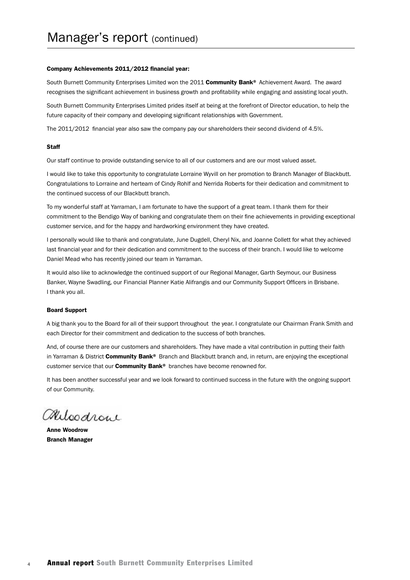#### Company Achievements 2011/2012 financial year:

South Burnett Community Enterprises Limited won the 2011 Community Bank® Achievement Award. The award recognises the significant achievement in business growth and profitability while engaging and assisting local youth.

South Burnett Community Enterprises Limited prides itself at being at the forefront of Director education, to help the future capacity of their company and developing significant relationships with Government.

The 2011/2012 financial year also saw the company pay our shareholders their second dividend of 4.5%.

#### **Staff**

Our staff continue to provide outstanding service to all of our customers and are our most valued asset.

I would like to take this opportunity to congratulate Lorraine Wyvill on her promotion to Branch Manager of Blackbutt. Congratulations to Lorraine and herteam of Cindy Rohlf and Nerrida Roberts for their dedication and commitment to the continued success of our Blackbutt branch.

To my wonderful staff at Yarraman, I am fortunate to have the support of a great team. I thank them for their commitment to the Bendigo Way of banking and congratulate them on their fine achievements in providing exceptional customer service, and for the happy and hardworking environment they have created.

I personally would like to thank and congratulate, June Dugdell, Cheryl Nix, and Joanne Collett for what they achieved last financial year and for their dedication and commitment to the success of their branch. I would like to welcome Daniel Mead who has recently joined our team in Yarraman.

It would also like to acknowledge the continued support of our Regional Manager, Garth Seymour, our Business Banker, Wayne Swadling, our Financial Planner Katie Alifrangis and our Community Support Officers in Brisbane. I thank you all.

#### Board Support

A big thank you to the Board for all of their support throughout the year. I congratulate our Chairman Frank Smith and each Director for their commitment and dedication to the success of both branches.

And, of course there are our customers and shareholders. They have made a vital contribution in putting their faith in Yarraman & District Community Bank® Branch and Blackbutt branch and, in return, are enjoying the exceptional customer service that our **Community Bank®** branches have become renowned for.

It has been another successful year and we look forward to continued success in the future with the ongoing support of our Community.

Miloodrow

Anne Woodrow Branch Manager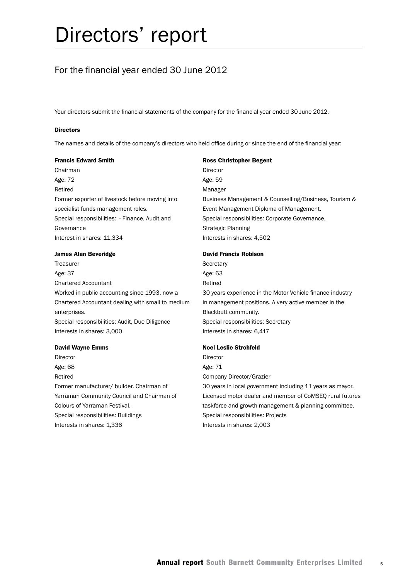## For the financial year ended 30 June 2012

Your directors submit the financial statements of the company for the financial year ended 30 June 2012.

#### **Directors**

The names and details of the company's directors who held office during or since the end of the financial year:

#### Francis Edward Smith

Chairman Age: 72 Retired Former exporter of livestock before moving into specialist funds management roles. Special responsibilities: - Finance, Audit and **Governance** Interest in shares: 11,334

#### James Alan Beveridge

Treasurer Age: 37 Chartered Accountant Worked in public accounting since 1993, now a Chartered Accountant dealing with small to medium enterprises. Special responsibilities: Audit, Due Diligence Interests in shares: 3,000

#### David Wayne Emms

Director Age: 68 Retired Former manufacturer/ builder. Chairman of Yarraman Community Council and Chairman of Colours of Yarraman Festival. Special responsibilities: Buildings Interests in shares: 1,336

#### Ross Christopher Begent Director Age: 59 Manager Business Management & Counselling/Business, Tourism & Event Management Diploma of Management. Special responsibilities: Corporate Governance, Strategic Planning Interests in shares: 4,502

#### David Francis Robison

**Secretary** Age: 63 Retired 30 years experience in the Motor Vehicle finance industry in management positions. A very active member in the Blackbutt community. Special responsibilities: Secretary Interests in shares: 6,417

#### Noel Leslie Strohfeld

Director Age: 71 Company Director/Grazier 30 years in local government including 11 years as mayor. Licensed motor dealer and member of CoMSEQ rural futures taskforce and growth management & planning committee. Special responsibilities: Projects Interests in shares: 2,003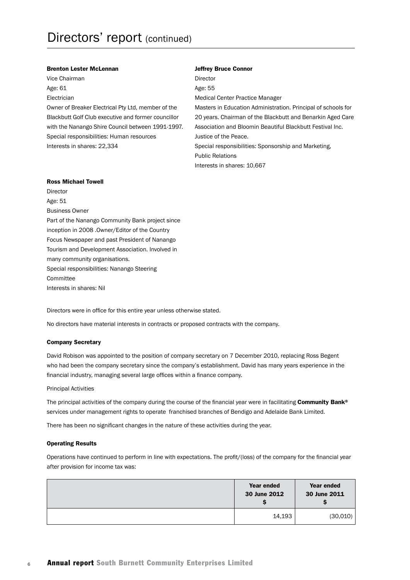#### Brenton Lester McLennan

Vice Chairman Age: 61 Electrician Owner of Breaker Electrical Pty Ltd, member of the Blackbutt Golf Club executive and former councillor with the Nanango Shire Council between 1991-1997. Special responsibilities: Human resources Interests in shares: 22,334

#### Jeffrey Bruce Connor

Director Age: 55

Medical Center Practice Manager

Masters in Education Administration. Principal of schools for 20 years. Chairman of the Blackbutt and Benarkin Aged Care Association and Bloomin Beautiful Blackbutt Festival Inc. Justice of the Peace. Special responsibilities: Sponsorship and Marketing,

Public Relations Interests in shares: 10,667

#### Ross Michael Towell

Director Age: 51 Business Owner Part of the Nanango Community Bank project since inception in 2008 .Owner/Editor of the Country Focus Newspaper and past President of Nanango Tourism and Development Association. Involved in many community organisations. Special responsibilities: Nanango Steering **Committee** Interests in shares: Nil

Directors were in office for this entire year unless otherwise stated.

No directors have material interests in contracts or proposed contracts with the company.

#### Company Secretary

David Robison was appointed to the position of company secretary on 7 December 2010, replacing Ross Begent who had been the company secretary since the company's establishment. David has many years experience in the financial industry, managing several large offices within a finance company.

Principal Activities

The principal activities of the company during the course of the financial year were in facilitating Community Bank® services under management rights to operate franchised branches of Bendigo and Adelaide Bank Limited.

There has been no significant changes in the nature of these activities during the year.

#### Operating Results

Operations have continued to perform in line with expectations. The profit/(loss) of the company for the financial year after provision for income tax was:

| Year ended<br>30 June 2012 | Year ended<br>30 June 2011 |
|----------------------------|----------------------------|
| 14,193                     | (30,010)                   |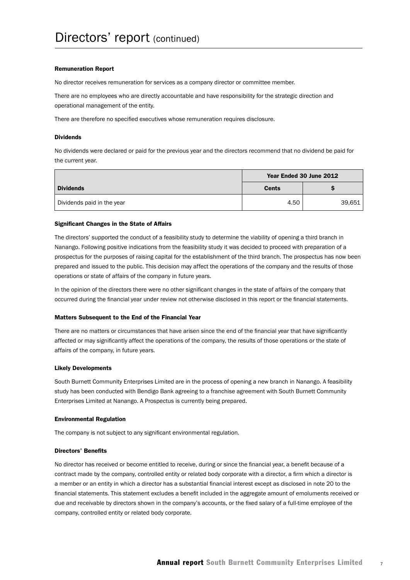#### Remuneration Report

No director receives remuneration for services as a company director or committee member.

There are no employees who are directly accountable and have responsibility for the strategic direction and operational management of the entity.

There are therefore no specified executives whose remuneration requires disclosure.

#### **Dividends**

No dividends were declared or paid for the previous year and the directors recommend that no dividend be paid for the current year.

|                            | Year Ended 30 June 2012 |        |
|----------------------------|-------------------------|--------|
| <b>Dividends</b>           | <b>Cents</b>            |        |
| Dividends paid in the year | 4.50                    | 39,651 |

#### Significant Changes in the State of Affairs

The directors' supported the conduct of a feasibility study to determine the viability of opening a third branch in Nanango. Following positive indications from the feasibility study it was decided to proceed with preparation of a prospectus for the purposes of raising capital for the establishment of the third branch. The prospectus has now been prepared and issued to the public. This decision may affect the operations of the company and the results of those operations or state of affairs of the company in future years.

In the opinion of the directors there were no other significant changes in the state of affairs of the company that occurred during the financial year under review not otherwise disclosed in this report or the financial statements.

#### Matters Subsequent to the End of the Financial Year

There are no matters or circumstances that have arisen since the end of the financial year that have significantly affected or may significantly affect the operations of the company, the results of those operations or the state of affairs of the company, in future years.

#### Likely Developments

South Burnett Community Enterprises Limited are in the process of opening a new branch in Nanango. A feasibility study has been conducted with Bendigo Bank agreeing to a franchise agreement with South Burnett Community Enterprises Limited at Nanango. A Prospectus is currently being prepared.

#### Environmental Regulation

The company is not subject to any significant environmental regulation.

#### Directors' Benefits

No director has received or become entitled to receive, during or since the financial year, a benefit because of a contract made by the company, controlled entity or related body corporate with a director, a firm which a director is a member or an entity in which a director has a substantial financial interest except as disclosed in note 20 to the financial statements. This statement excludes a benefit included in the aggregate amount of emoluments received or due and receivable by directors shown in the company's accounts, or the fixed salary of a full-time employee of the company, controlled entity or related body corporate.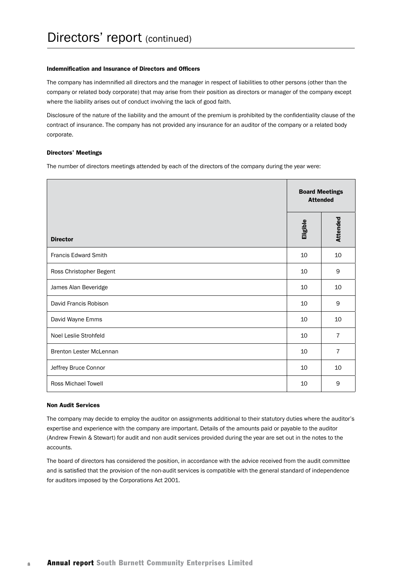#### Indemnification and Insurance of Directors and Officers

The company has indemnified all directors and the manager in respect of liabilities to other persons (other than the company or related body corporate) that may arise from their position as directors or manager of the company except where the liability arises out of conduct involving the lack of good faith.

Disclosure of the nature of the liability and the amount of the premium is prohibited by the confidentiality clause of the contract of insurance. The company has not provided any insurance for an auditor of the company or a related body corporate.

#### Directors' Meetings

The number of directors meetings attended by each of the directors of the company during the year were:

|                            | <b>Board Meetings</b><br><b>Attended</b> |                |
|----------------------------|------------------------------------------|----------------|
| <b>Director</b>            | Eligible                                 | Attended       |
| Francis Edward Smith       | 10                                       | 10             |
| Ross Christopher Begent    | 10                                       | 9              |
| James Alan Beveridge       | 10                                       | 10             |
| David Francis Robison      | 10                                       | 9              |
| David Wayne Emms           | 10                                       | 10             |
| Noel Leslie Strohfeld      | 10                                       | $\overline{7}$ |
| Brenton Lester McLennan    | 10                                       | $\overline{7}$ |
| Jeffrey Bruce Connor       | 10                                       | 10             |
| <b>Ross Michael Towell</b> | 10                                       | 9              |

#### Non Audit Services

The company may decide to employ the auditor on assignments additional to their statutory duties where the auditor's expertise and experience with the company are important. Details of the amounts paid or payable to the auditor (Andrew Frewin & Stewart) for audit and non audit services provided during the year are set out in the notes to the accounts.

The board of directors has considered the position, in accordance with the advice received from the audit committee and is satisfied that the provision of the non-audit services is compatible with the general standard of independence for auditors imposed by the Corporations Act 2001.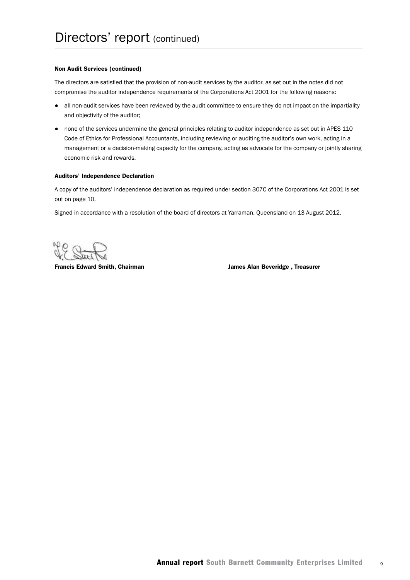#### Non Audit Services (continued)

The directors are satisfied that the provision of non-audit services by the auditor, as set out in the notes did not compromise the auditor independence requirements of the Corporations Act 2001 for the following reasons:

- all non-audit services have been reviewed by the audit committee to ensure they do not impact on the impartiality and objectivity of the auditor;
- none of the services undermine the general principles relating to auditor independence as set out in APES 110 Code of Ethics for Professional Accountants, including reviewing or auditing the auditor's own work, acting in a management or a decision-making capacity for the company, acting as advocate for the company or jointly sharing economic risk and rewards.

#### Auditors' Independence Declaration

A copy of the auditors' independence declaration as required under section 307C of the Corporations Act 2001 is set out on page 10.

Signed in accordance with a resolution of the board of directors at Yarraman, Queensland on 13 August 2012.

Francis Edward Smith, Chairman James Alan Beveridge , Treasurer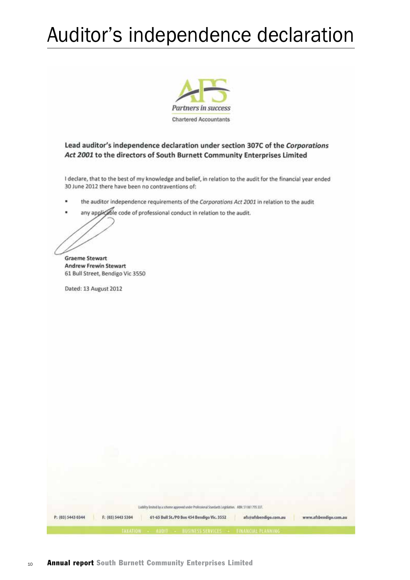## Auditor's independence declaration



#### Lead auditor's independence declaration under section 307C of the Corporations Act 2001 to the directors of South Burnett Community Enterprises Limited

I declare, that to the best of my knowledge and belief, in relation to the audit for the financial year ended 30 June 2012 there have been no contraventions of:

- the auditor independence requirements of the Corporations Act 2001 in relation to the audit
- any applicable code of professional conduct in relation to the audit.

**Graeme Stewart Andrew Frewin Stewart** 61 Bull Street, Bendigo Vic 3550

Dated: 13 August 2012

| P: (03) 5443 0344 | Liability limited by a scheme approved under Professional Standards Legislation. ABN: 51061795337.<br>afs@afsbendigo.com.au<br>61-65 Bull St./PO Box 454 Bendigo Vic. 3552<br>F: (03) 5443 5304<br>www.afsbendigo.com.au |
|-------------------|--------------------------------------------------------------------------------------------------------------------------------------------------------------------------------------------------------------------------|
|                   | TAXATION: <- AUDIT := BUSINESS SERVICES := EINANCIAL PLANNING :                                                                                                                                                          |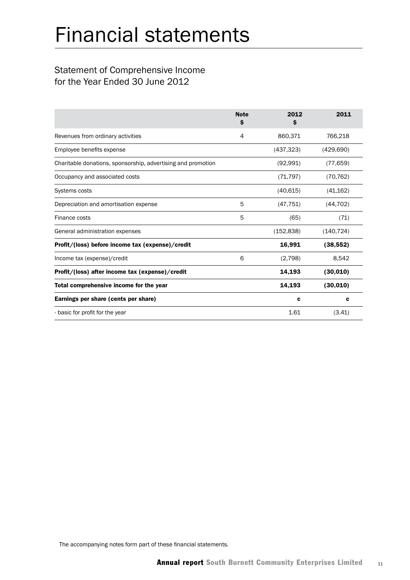## Statement of Comprehensive Income for the Year Ended 30 June 2012

|                                                              | <b>Note</b><br>S | 2012<br>s  | 2011       |
|--------------------------------------------------------------|------------------|------------|------------|
| Revenues from ordinary activities                            | 4                | 860,371    | 766,218    |
| Employee benefits expense                                    |                  | (437, 323) | (429, 690) |
| Charitable donations, sponsorship, advertising and promotion |                  | (92,991)   | (77,659)   |
| Occupancy and associated costs                               |                  | (71, 797)  | (70, 762)  |
| <b>Systems costs</b>                                         |                  | (40, 615)  | (41, 162)  |
| Depreciation and amortisation expense                        | 5                | (47, 751)  | (44, 702)  |
| Finance costs                                                | 5                | (65)       | (71)       |
| General administration expenses                              |                  | (152, 838) | (140, 724) |
| Profit/(loss) before income tax (expense)/credit             |                  | 16,991     | (38, 552)  |
| Income tax (expense)/credit                                  | 6                | (2,798)    | 8,542      |
| Profit/(loss) after income tax (expense)/credit              |                  | 14,193     | (30, 010)  |
| Total comprehensive income for the year                      |                  | 14,193     | (30, 010)  |
| Earnings per share (cents per share)                         |                  | c          | c          |
| - basic for profit for the year                              |                  | 1.61       | (3.41)     |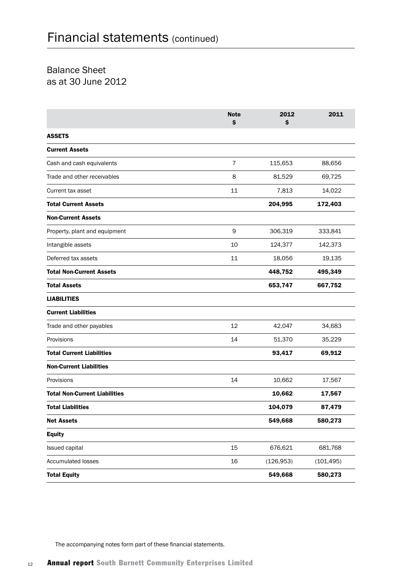## Balance Sheet as at 30 June 2012

|                                      | <b>Note</b><br>\$ | 2012<br>\$ | 2011       |
|--------------------------------------|-------------------|------------|------------|
| <b>ASSETS</b>                        |                   |            |            |
| <b>Current Assets</b>                |                   |            |            |
| Cash and cash equivalents            | $\overline{7}$    | 115,653    | 88,656     |
| Trade and other receivables          | 8                 | 81,529     | 69,725     |
| Current tax asset                    | 11                | 7,813      | 14,022     |
| <b>Total Current Assets</b>          |                   | 204,995    | 172,403    |
| <b>Non-Current Assets</b>            |                   |            |            |
| Property, plant and equipment        | 9                 | 306,319    | 333,841    |
| Intangible assets                    | 10                | 124,377    | 142,373    |
| Deferred tax assets                  | 11                | 18,056     | 19,135     |
| <b>Total Non-Current Assets</b>      |                   | 448,752    | 495,349    |
| <b>Total Assets</b>                  |                   | 653,747    | 667,752    |
| <b>LIABILITIES</b>                   |                   |            |            |
| <b>Current Liabilities</b>           |                   |            |            |
| Trade and other payables             | 12                | 42,047     | 34,683     |
| Provisions                           | 14                | 51,370     | 35,229     |
| <b>Total Current Liabilities</b>     |                   | 93,417     | 69,912     |
| <b>Non-Current Liabilities</b>       |                   |            |            |
| Provisions                           | 14                | 10,662     | 17,567     |
| <b>Total Non-Current Liabilities</b> |                   | 10,662     | 17,567     |
| <b>Total Liabilities</b>             |                   | 104,079    | 87,479     |
| <b>Net Assets</b>                    |                   | 549,668    | 580,273    |
| <b>Equity</b>                        |                   |            |            |
| Issued capital                       | 15                | 676,621    | 681,768    |
| <b>Accumulated losses</b>            | 16                | (126, 953) | (101, 495) |
| <b>Total Equity</b>                  |                   | 549,668    | 580,273    |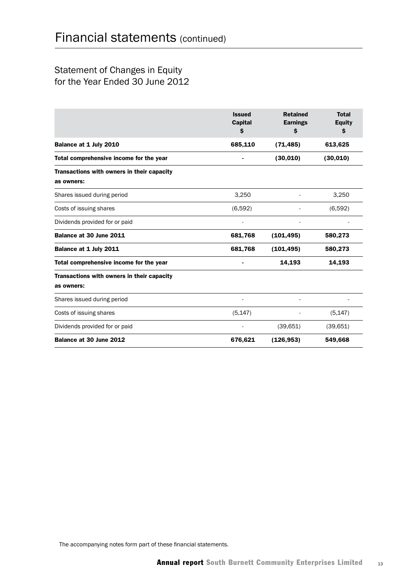## Statement of Changes in Equity for the Year Ended 30 June 2012

|                                                          | <b>Issued</b><br><b>Capital</b><br>\$ | <b>Retained</b><br><b>Earnings</b><br>\$ | <b>Total</b><br><b>Equity</b><br>Ş |
|----------------------------------------------------------|---------------------------------------|------------------------------------------|------------------------------------|
| Balance at 1 July 2010                                   | 685,110                               | (71, 485)                                | 613,625                            |
| Total comprehensive income for the year                  |                                       | (30, 010)                                | (30, 010)                          |
| Transactions with owners in their capacity<br>as owners: |                                       |                                          |                                    |
| Shares issued during period                              | 3,250                                 |                                          | 3,250                              |
| Costs of issuing shares                                  | (6,592)                               |                                          | (6,592)                            |
| Dividends provided for or paid                           |                                       |                                          |                                    |
| Balance at 30 June 2011                                  | 681,768                               | (101, 495)                               | 580,273                            |
| Balance at 1 July 2011                                   | 681,768                               | (101, 495)                               | 580,273                            |
| Total comprehensive income for the year                  |                                       | 14,193                                   | 14,193                             |
| Transactions with owners in their capacity<br>as owners: |                                       |                                          |                                    |
| Shares issued during period                              |                                       |                                          |                                    |
| Costs of issuing shares                                  | (5, 147)                              |                                          | (5, 147)                           |
| Dividends provided for or paid                           |                                       | (39,651)                                 | (39,651)                           |
| Balance at 30 June 2012                                  | 676,621                               | (126, 953)                               | 549,668                            |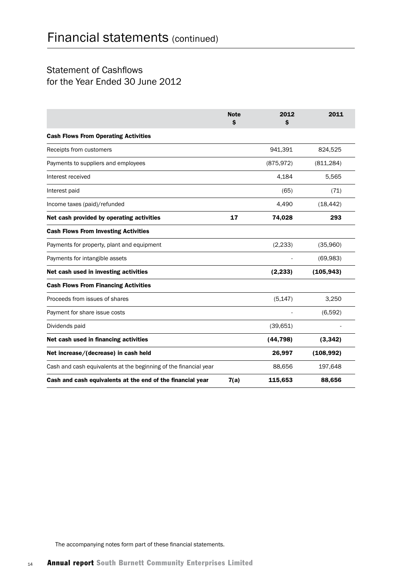## Statement of Cashflows for the Year Ended 30 June 2012

|                                                                  | <b>Note</b><br>Ś | 2012<br>Ŝ  | 2011       |
|------------------------------------------------------------------|------------------|------------|------------|
| <b>Cash Flows From Operating Activities</b>                      |                  |            |            |
| Receipts from customers                                          |                  | 941,391    | 824,525    |
| Payments to suppliers and employees                              |                  | (875, 972) | (811, 284) |
| Interest received                                                |                  | 4.184      | 5,565      |
| Interest paid                                                    |                  | (65)       | (71)       |
| Income taxes (paid)/refunded                                     |                  | 4,490      | (18, 442)  |
| Net cash provided by operating activities                        | 17               | 74,028     | 293        |
| <b>Cash Flows From Investing Activities</b>                      |                  |            |            |
| Payments for property, plant and equipment                       |                  | (2, 233)   | (35,960)   |
| Payments for intangible assets                                   |                  |            | (69,983)   |
| Net cash used in investing activities                            |                  | (2, 233)   | (105, 943) |
| <b>Cash Flows From Financing Activities</b>                      |                  |            |            |
| Proceeds from issues of shares                                   |                  | (5, 147)   | 3,250      |
| Payment for share issue costs                                    |                  |            | (6,592)    |
| Dividends paid                                                   |                  | (39, 651)  |            |
| Net cash used in financing activities                            |                  | (44, 798)  | (3, 342)   |
| Net increase/(decrease) in cash held                             |                  | 26,997     | (108, 992) |
| Cash and cash equivalents at the beginning of the financial year |                  | 88,656     | 197,648    |
| Cash and cash equivalents at the end of the financial year       | 7(a)             | 115,653    | 88,656     |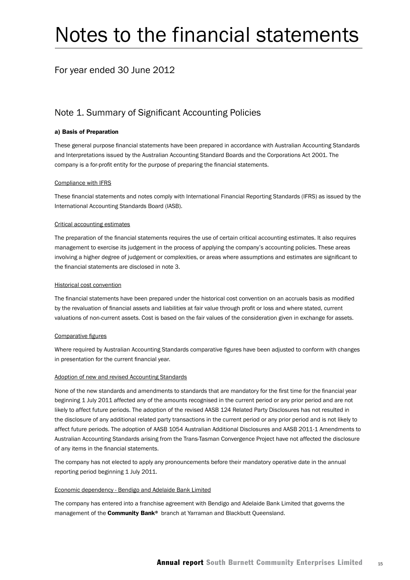## Notes to the financial statements

## For year ended 30 June 2012

## Note 1. Summary of Significant Accounting Policies

#### a) Basis of Preparation

These general purpose financial statements have been prepared in accordance with Australian Accounting Standards and Interpretations issued by the Australian Accounting Standard Boards and the Corporations Act 2001. The company is a for-profit entity for the purpose of preparing the financial statements.

#### Compliance with IFRS

These financial statements and notes comply with International Financial Reporting Standards (IFRS) as issued by the International Accounting Standards Board (IASB).

#### Critical accounting estimates

The preparation of the financial statements requires the use of certain critical accounting estimates. It also requires management to exercise its judgement in the process of applying the company's accounting policies. These areas involving a higher degree of judgement or complexities, or areas where assumptions and estimates are significant to the financial statements are disclosed in note 3.

#### Historical cost convention

The financial statements have been prepared under the historical cost convention on an accruals basis as modified by the revaluation of financial assets and liabilities at fair value through profit or loss and where stated, current valuations of non-current assets. Cost is based on the fair values of the consideration given in exchange for assets.

#### Comparative figures

Where required by Australian Accounting Standards comparative figures have been adjusted to conform with changes in presentation for the current financial year.

#### Adoption of new and revised Accounting Standards

None of the new standards and amendments to standards that are mandatory for the first time for the financial year beginning 1 July 2011 affected any of the amounts recognised in the current period or any prior period and are not likely to affect future periods. The adoption of the revised AASB 124 Related Party Disclosures has not resulted in the disclosure of any additional related party transactions in the current period or any prior period and is not likely to affect future periods. The adoption of AASB 1054 Australian Additional Disclosures and AASB 2011-1 Amendments to Australian Accounting Standards arising from the Trans-Tasman Convergence Project have not affected the disclosure of any items in the financial statements.

The company has not elected to apply any pronouncements before their mandatory operative date in the annual reporting period beginning 1 July 2011.

#### Economic dependency - Bendigo and Adelaide Bank Limited

The company has entered into a franchise agreement with Bendigo and Adelaide Bank Limited that governs the management of the **Community Bank®** branch at Yarraman and Blackbutt Queensland.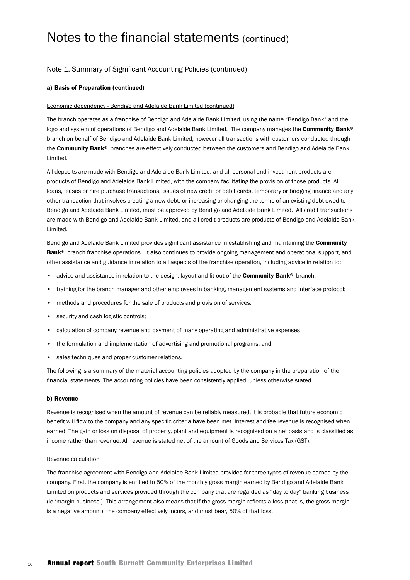#### a) Basis of Preparation (continued)

#### Economic dependency - Bendigo and Adelaide Bank Limited (continued)

The branch operates as a franchise of Bendigo and Adelaide Bank Limited, using the name "Bendigo Bank" and the logo and system of operations of Bendigo and Adelaide Bank Limited. The company manages the Community Bank® branch on behalf of Bendigo and Adelaide Bank Limited, however all transactions with customers conducted through the Community Bank® branches are effectively conducted between the customers and Bendigo and Adelaide Bank Limited.

All deposits are made with Bendigo and Adelaide Bank Limited, and all personal and investment products are products of Bendigo and Adelaide Bank Limited, with the company facilitating the provision of those products. All loans, leases or hire purchase transactions, issues of new credit or debit cards, temporary or bridging finance and any other transaction that involves creating a new debt, or increasing or changing the terms of an existing debt owed to Bendigo and Adelaide Bank Limited, must be approved by Bendigo and Adelaide Bank Limited. All credit transactions are made with Bendigo and Adelaide Bank Limited, and all credit products are products of Bendigo and Adelaide Bank Limited.

Bendigo and Adelaide Bank Limited provides significant assistance in establishing and maintaining the Community Bank<sup>®</sup> branch franchise operations. It also continues to provide ongoing management and operational support, and other assistance and guidance in relation to all aspects of the franchise operation, including advice in relation to:

- advice and assistance in relation to the design, layout and fit out of the **Community Bank®** branch;
- training for the branch manager and other employees in banking, management systems and interface protocol;
- methods and procedures for the sale of products and provision of services;
- security and cash logistic controls;
- calculation of company revenue and payment of many operating and administrative expenses
- the formulation and implementation of advertising and promotional programs; and
- sales techniques and proper customer relations.

The following is a summary of the material accounting policies adopted by the company in the preparation of the financial statements. The accounting policies have been consistently applied, unless otherwise stated.

#### b) Revenue

Revenue is recognised when the amount of revenue can be reliably measured, it is probable that future economic benefit will flow to the company and any specific criteria have been met. Interest and fee revenue is recognised when earned. The gain or loss on disposal of property, plant and equipment is recognised on a net basis and is classified as income rather than revenue. All revenue is stated net of the amount of Goods and Services Tax (GST).

#### Revenue calculation

The franchise agreement with Bendigo and Adelaide Bank Limited provides for three types of revenue earned by the company. First, the company is entitled to 50% of the monthly gross margin earned by Bendigo and Adelaide Bank Limited on products and services provided through the company that are regarded as "day to day" banking business (ie 'margin business'). This arrangement also means that if the gross margin reflects a loss (that is, the gross margin is a negative amount), the company effectively incurs, and must bear, 50% of that loss.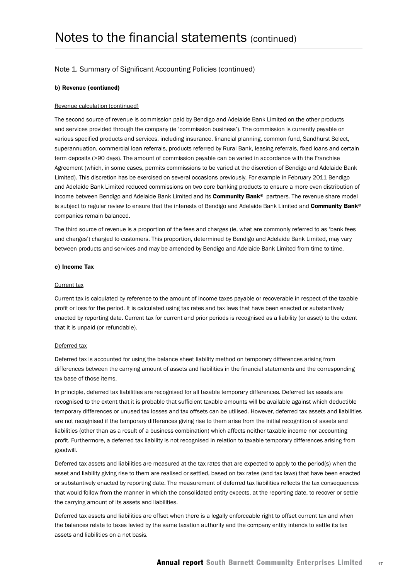#### b) Revenue (contiuned)

#### Revenue calculation (continued)

The second source of revenue is commission paid by Bendigo and Adelaide Bank Limited on the other products and services provided through the company (ie 'commission business'). The commission is currently payable on various specified products and services, including insurance, financial planning, common fund, Sandhurst Select, superannuation, commercial loan referrals, products referred by Rural Bank, leasing referrals, fixed loans and certain term deposits (>90 days). The amount of commission payable can be varied in accordance with the Franchise Agreement (which, in some cases, permits commissions to be varied at the discretion of Bendigo and Adelaide Bank Limited). This discretion has be exercised on several occasions previously. For example in February 2011 Bendigo and Adelaide Bank Limited reduced commissions on two core banking products to ensure a more even distribution of income between Bendigo and Adelaide Bank Limited and its Community Bank<sup>®</sup> partners. The revenue share model is subject to regular review to ensure that the interests of Bendigo and Adelaide Bank Limited and Community Bank® companies remain balanced.

The third source of revenue is a proportion of the fees and charges (ie, what are commonly referred to as 'bank fees and charges') charged to customers. This proportion, determined by Bendigo and Adelaide Bank Limited, may vary between products and services and may be amended by Bendigo and Adelaide Bank Limited from time to time.

#### c) Income Tax

#### Current tax

Current tax is calculated by reference to the amount of income taxes payable or recoverable in respect of the taxable profit or loss for the period. It is calculated using tax rates and tax laws that have been enacted or substantively enacted by reporting date. Current tax for current and prior periods is recognised as a liability (or asset) to the extent that it is unpaid (or refundable).

#### Deferred tax

Deferred tax is accounted for using the balance sheet liability method on temporary differences arising from differences between the carrying amount of assets and liabilities in the financial statements and the corresponding tax base of those items.

In principle, deferred tax liabilities are recognised for all taxable temporary differences. Deferred tax assets are recognised to the extent that it is probable that sufficient taxable amounts will be available against which deductible temporary differences or unused tax losses and tax offsets can be utilised. However, deferred tax assets and liabilities are not recognised if the temporary differences giving rise to them arise from the initial recognition of assets and liabilities (other than as a result of a business combination) which affects neither taxable income nor accounting profit. Furthermore, a deferred tax liability is not recognised in relation to taxable temporary differences arising from goodwill.

Deferred tax assets and liabilities are measured at the tax rates that are expected to apply to the period(s) when the asset and liability giving rise to them are realised or settled, based on tax rates (and tax laws) that have been enacted or substantively enacted by reporting date. The measurement of deferred tax liabilities reflects the tax consequences that would follow from the manner in which the consolidated entity expects, at the reporting date, to recover or settle the carrying amount of its assets and liabilities.

Deferred tax assets and liabilities are offset when there is a legally enforceable right to offset current tax and when the balances relate to taxes levied by the same taxation authority and the company entity intends to settle its tax assets and liabilities on a net basis.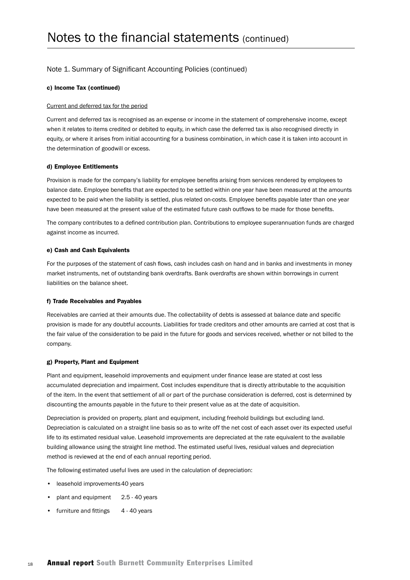#### c) Income Tax (continued)

#### Current and deferred tax for the period

Current and deferred tax is recognised as an expense or income in the statement of comprehensive income, except when it relates to items credited or debited to equity, in which case the deferred tax is also recognised directly in equity, or where it arises from initial accounting for a business combination, in which case it is taken into account in the determination of goodwill or excess.

#### d) Employee Entitlements

Provision is made for the company's liability for employee benefits arising from services rendered by employees to balance date. Employee benefits that are expected to be settled within one year have been measured at the amounts expected to be paid when the liability is settled, plus related on-costs. Employee benefits payable later than one year have been measured at the present value of the estimated future cash outflows to be made for those benefits.

The company contributes to a defined contribution plan. Contributions to employee superannuation funds are charged against income as incurred.

#### e) Cash and Cash Equivalents

For the purposes of the statement of cash flows, cash includes cash on hand and in banks and investments in money market instruments, net of outstanding bank overdrafts. Bank overdrafts are shown within borrowings in current liabilities on the balance sheet.

#### f) Trade Receivables and Payables

Receivables are carried at their amounts due. The collectability of debts is assessed at balance date and specific provision is made for any doubtful accounts. Liabilities for trade creditors and other amounts are carried at cost that is the fair value of the consideration to be paid in the future for goods and services received, whether or not billed to the company.

#### g) Property, Plant and Equipment

Plant and equipment, leasehold improvements and equipment under finance lease are stated at cost less accumulated depreciation and impairment. Cost includes expenditure that is directly attributable to the acquisition of the item. In the event that settlement of all or part of the purchase consideration is deferred, cost is determined by discounting the amounts payable in the future to their present value as at the date of acquisition.

Depreciation is provided on property, plant and equipment, including freehold buildings but excluding land. Depreciation is calculated on a straight line basis so as to write off the net cost of each asset over its expected useful life to its estimated residual value. Leasehold improvements are depreciated at the rate equivalent to the available building allowance using the straight line method. The estimated useful lives, residual values and depreciation method is reviewed at the end of each annual reporting period.

The following estimated useful lives are used in the calculation of depreciation:

- leasehold improvements40 years
- plant and equipment 2.5 40 years
- furniture and fittings 4 40 years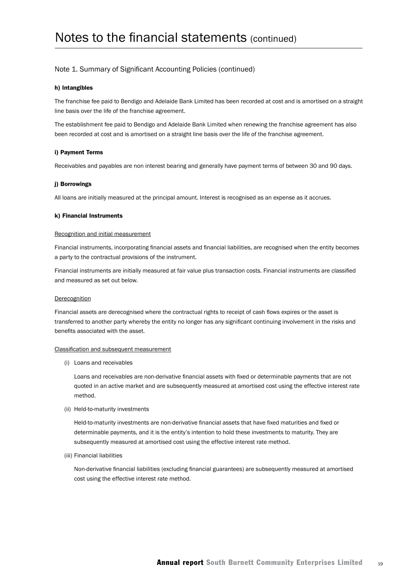#### h) Intangibles

The franchise fee paid to Bendigo and Adelaide Bank Limited has been recorded at cost and is amortised on a straight line basis over the life of the franchise agreement.

The establishment fee paid to Bendigo and Adelaide Bank Limited when renewing the franchise agreement has also been recorded at cost and is amortised on a straight line basis over the life of the franchise agreement.

#### i) Payment Terms

Receivables and payables are non interest bearing and generally have payment terms of between 30 and 90 days.

#### j) Borrowings

All loans are initially measured at the principal amount. Interest is recognised as an expense as it accrues.

#### k) Financial Instruments

#### Recognition and initial measurement

Financial instruments, incorporating financial assets and financial liabilities, are recognised when the entity becomes a party to the contractual provisions of the instrument.

Financial instruments are initially measured at fair value plus transaction costs. Financial instruments are classified and measured as set out below.

#### Derecognition

Financial assets are derecognised where the contractual rights to receipt of cash flows expires or the asset is transferred to another party whereby the entity no longer has any significant continuing involvement in the risks and benefits associated with the asset.

#### Classification and subsequent measurement

(i) Loans and receivables

Loans and receivables are non-derivative financial assets with fixed or determinable payments that are not quoted in an active market and are subsequently measured at amortised cost using the effective interest rate method.

(ii) Held-to-maturity investments

Held-to-maturity investments are non-derivative financial assets that have fixed maturities and fixed or determinable payments, and it is the entity's intention to hold these investments to maturity. They are subsequently measured at amortised cost using the effective interest rate method.

(iii) Financial liabilities

Non-derivative financial liabilities (excluding financial guarantees) are subsequently measured at amortised cost using the effective interest rate method.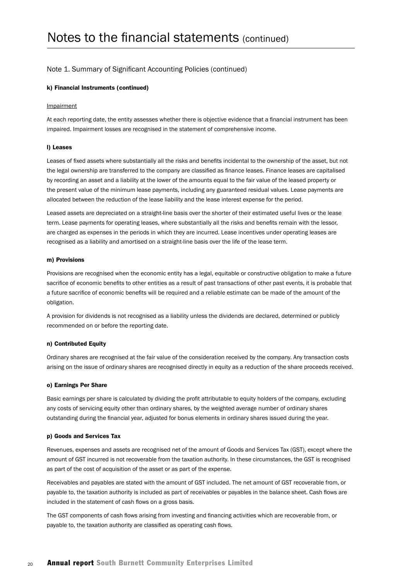#### k) Financial Instruments (continued)

#### Impairment

At each reporting date, the entity assesses whether there is objective evidence that a financial instrument has been impaired. Impairment losses are recognised in the statement of comprehensive income.

#### l) Leases

Leases of fixed assets where substantially all the risks and benefits incidental to the ownership of the asset, but not the legal ownership are transferred to the company are classified as finance leases. Finance leases are capitalised by recording an asset and a liability at the lower of the amounts equal to the fair value of the leased property or the present value of the minimum lease payments, including any guaranteed residual values. Lease payments are allocated between the reduction of the lease liability and the lease interest expense for the period.

Leased assets are depreciated on a straight-line basis over the shorter of their estimated useful lives or the lease term. Lease payments for operating leases, where substantially all the risks and benefits remain with the lessor, are charged as expenses in the periods in which they are incurred. Lease incentives under operating leases are recognised as a liability and amortised on a straight-line basis over the life of the lease term.

#### m) Provisions

Provisions are recognised when the economic entity has a legal, equitable or constructive obligation to make a future sacrifice of economic benefits to other entities as a result of past transactions of other past events, it is probable that a future sacrifice of economic benefits will be required and a reliable estimate can be made of the amount of the obligation.

A provision for dividends is not recognised as a liability unless the dividends are declared, determined or publicly recommended on or before the reporting date.

#### n) Contributed Equity

Ordinary shares are recognised at the fair value of the consideration received by the company. Any transaction costs arising on the issue of ordinary shares are recognised directly in equity as a reduction of the share proceeds received.

#### o) Earnings Per Share

Basic earnings per share is calculated by dividing the profit attributable to equity holders of the company, excluding any costs of servicing equity other than ordinary shares, by the weighted average number of ordinary shares outstanding during the financial year, adjusted for bonus elements in ordinary shares issued during the year.

#### p) Goods and Services Tax

Revenues, expenses and assets are recognised net of the amount of Goods and Services Tax (GST), except where the amount of GST incurred is not recoverable from the taxation authority. In these circumstances, the GST is recognised as part of the cost of acquisition of the asset or as part of the expense.

Receivables and payables are stated with the amount of GST included. The net amount of GST recoverable from, or payable to, the taxation authority is included as part of receivables or payables in the balance sheet. Cash flows are included in the statement of cash flows on a gross basis.

The GST components of cash flows arising from investing and financing activities which are recoverable from, or payable to, the taxation authority are classified as operating cash flows.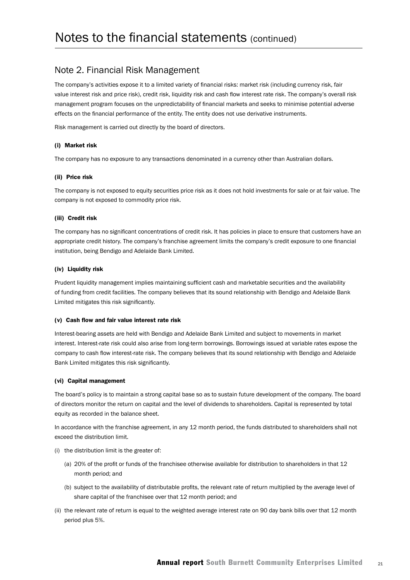#### Note 2. Financial Risk Management

The company's activities expose it to a limited variety of financial risks: market risk (including currency risk, fair value interest risk and price risk), credit risk, liquidity risk and cash flow interest rate risk. The company's overall risk management program focuses on the unpredictability of financial markets and seeks to minimise potential adverse effects on the financial performance of the entity. The entity does not use derivative instruments.

Risk management is carried out directly by the board of directors.

#### (i) Market risk

The company has no exposure to any transactions denominated in a currency other than Australian dollars.

#### (ii) Price risk

The company is not exposed to equity securities price risk as it does not hold investments for sale or at fair value. The company is not exposed to commodity price risk.

#### (iii) Credit risk

The company has no significant concentrations of credit risk. It has policies in place to ensure that customers have an appropriate credit history. The company's franchise agreement limits the company's credit exposure to one financial institution, being Bendigo and Adelaide Bank Limited.

#### (iv) Liquidity risk

Prudent liquidity management implies maintaining sufficient cash and marketable securities and the availability of funding from credit facilities. The company believes that its sound relationship with Bendigo and Adelaide Bank Limited mitigates this risk significantly.

#### (v) Cash flow and fair value interest rate risk

Interest-bearing assets are held with Bendigo and Adelaide Bank Limited and subject to movements in market interest. Interest-rate risk could also arise from long-term borrowings. Borrowings issued at variable rates expose the company to cash flow interest-rate risk. The company believes that its sound relationship with Bendigo and Adelaide Bank Limited mitigates this risk significantly.

#### (vi) Capital management

The board's policy is to maintain a strong capital base so as to sustain future development of the company. The board of directors monitor the return on capital and the level of dividends to shareholders. Capital is represented by total equity as recorded in the balance sheet.

In accordance with the franchise agreement, in any 12 month period, the funds distributed to shareholders shall not exceed the distribution limit.

- (i) the distribution limit is the greater of:
	- (a) 20% of the profit or funds of the franchisee otherwise available for distribution to shareholders in that 12 month period; and
	- (b) subject to the availability of distributable profits, the relevant rate of return multiplied by the average level of share capital of the franchisee over that 12 month period; and
- (ii) the relevant rate of return is equal to the weighted average interest rate on 90 day bank bills over that 12 month period plus 5%.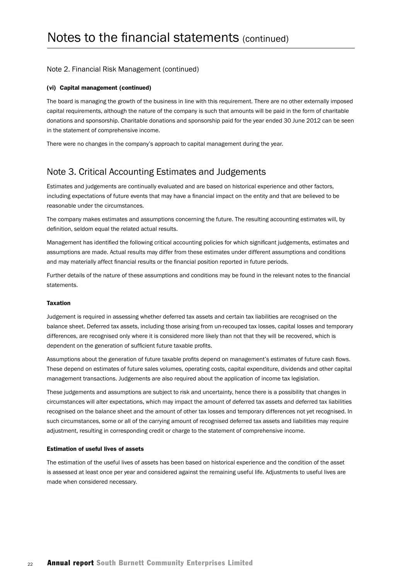#### Note 2. Financial Risk Management (continued)

#### (vi) Capital management (continued)

The board is managing the growth of the business in line with this requirement. There are no other externally imposed capital requirements, although the nature of the company is such that amounts will be paid in the form of charitable donations and sponsorship. Charitable donations and sponsorship paid for the year ended 30 June 2012 can be seen in the statement of comprehensive income.

There were no changes in the company's approach to capital management during the year.

### Note 3. Critical Accounting Estimates and Judgements

Estimates and judgements are continually evaluated and are based on historical experience and other factors, including expectations of future events that may have a financial impact on the entity and that are believed to be reasonable under the circumstances.

The company makes estimates and assumptions concerning the future. The resulting accounting estimates will, by definition, seldom equal the related actual results.

Management has identified the following critical accounting policies for which significant judgements, estimates and assumptions are made. Actual results may differ from these estimates under different assumptions and conditions and may materially affect financial results or the financial position reported in future periods.

Further details of the nature of these assumptions and conditions may be found in the relevant notes to the financial statements.

#### Taxation

Judgement is required in assessing whether deferred tax assets and certain tax liabilities are recognised on the balance sheet. Deferred tax assets, including those arising from un-recouped tax losses, capital losses and temporary differences, are recognised only where it is considered more likely than not that they will be recovered, which is dependent on the generation of sufficient future taxable profits.

Assumptions about the generation of future taxable profits depend on management's estimates of future cash flows. These depend on estimates of future sales volumes, operating costs, capital expenditure, dividends and other capital management transactions. Judgements are also required about the application of income tax legislation.

These judgements and assumptions are subject to risk and uncertainty, hence there is a possibility that changes in circumstances will alter expectations, which may impact the amount of deferred tax assets and deferred tax liabilities recognised on the balance sheet and the amount of other tax losses and temporary differences not yet recognised. In such circumstances, some or all of the carrying amount of recognised deferred tax assets and liabilities may require adjustment, resulting in corresponding credit or charge to the statement of comprehensive income.

#### Estimation of useful lives of assets

The estimation of the useful lives of assets has been based on historical experience and the condition of the asset is assessed at least once per year and considered against the remaining useful life. Adjustments to useful lives are made when considered necessary.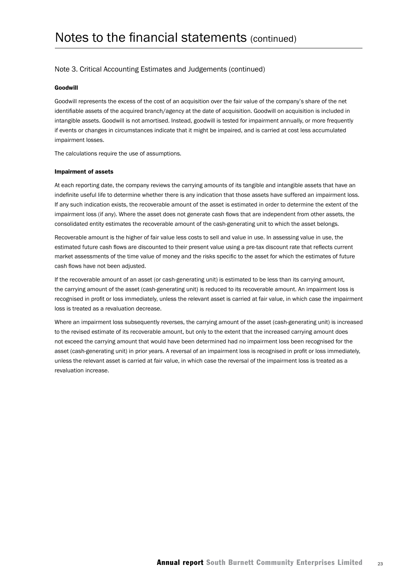#### Note 3. Critical Accounting Estimates and Judgements (continued)

#### Goodwill

Goodwill represents the excess of the cost of an acquisition over the fair value of the company's share of the net identifiable assets of the acquired branch/agency at the date of acquisition. Goodwill on acquisition is included in intangible assets. Goodwill is not amortised. Instead, goodwill is tested for impairment annually, or more frequently if events or changes in circumstances indicate that it might be impaired, and is carried at cost less accumulated impairment losses.

The calculations require the use of assumptions.

#### Impairment of assets

At each reporting date, the company reviews the carrying amounts of its tangible and intangible assets that have an indefinite useful life to determine whether there is any indication that those assets have suffered an impairment loss. If any such indication exists, the recoverable amount of the asset is estimated in order to determine the extent of the impairment loss (if any). Where the asset does not generate cash flows that are independent from other assets, the consolidated entity estimates the recoverable amount of the cash-generating unit to which the asset belongs.

Recoverable amount is the higher of fair value less costs to sell and value in use. In assessing value in use, the estimated future cash flows are discounted to their present value using a pre-tax discount rate that reflects current market assessments of the time value of money and the risks specific to the asset for which the estimates of future cash flows have not been adjusted.

If the recoverable amount of an asset (or cash-generating unit) is estimated to be less than its carrying amount, the carrying amount of the asset (cash-generating unit) is reduced to its recoverable amount. An impairment loss is recognised in profit or loss immediately, unless the relevant asset is carried at fair value, in which case the impairment loss is treated as a revaluation decrease.

Where an impairment loss subsequently reverses, the carrying amount of the asset (cash-generating unit) is increased to the revised estimate of its recoverable amount, but only to the extent that the increased carrying amount does not exceed the carrying amount that would have been determined had no impairment loss been recognised for the asset (cash-generating unit) in prior years. A reversal of an impairment loss is recognised in profit or loss immediately, unless the relevant asset is carried at fair value, in which case the reversal of the impairment loss is treated as a revaluation increase.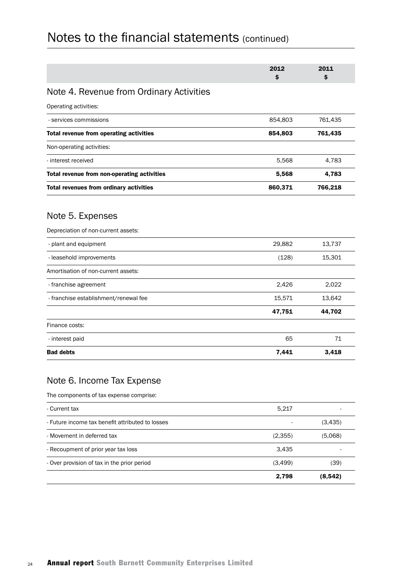|                                                         | 2012<br>\$ | 2011<br>\$ |
|---------------------------------------------------------|------------|------------|
| Note 4. Revenue from Ordinary Activities                |            |            |
| Operating activities:                                   |            |            |
| - services commissions                                  | 854,803    | 761,435    |
| Total revenue from operating activities                 | 854,803    | 761,435    |
| Non-operating activities:                               |            |            |
| - interest received                                     | 5,568      | 4,783      |
| Total revenue from non-operating activities             | 5,568      | 4,783      |
| Total revenues from ordinary activities                 | 860,371    | 766,218    |
| Note 5. Expenses<br>Depreciation of non-current assets: |            |            |
| - plant and equipment                                   | 29,882     | 13,737     |
| - leasehold improvements                                | (128)      | 15,301     |
| Amortisation of non-current assets:                     |            |            |
| - franchise agreement                                   | 2,426      | 2,022      |
| - franchise establishment/renewal fee                   | 15,571     | 13,642     |
|                                                         | 47,751     | 44,702     |
| Finance costs:                                          |            |            |
| - interest paid                                         | 65         | 71         |
| <b>Bad debts</b>                                        | 7,441      | 3,418      |

## Note 6. Income Tax Expense

The components of tax expense comprise:

|                                                  | 2,798   | (8,542) |
|--------------------------------------------------|---------|---------|
| - Over provision of tax in the prior period      | (3,499) | (39)    |
| - Recoupment of prior year tax loss              | 3,435   |         |
| - Movement in deferred tax                       | (2,355) | (5,068) |
| - Future income tax benefit attributed to losses |         | (3,435) |
| - Current tax                                    | 5,217   |         |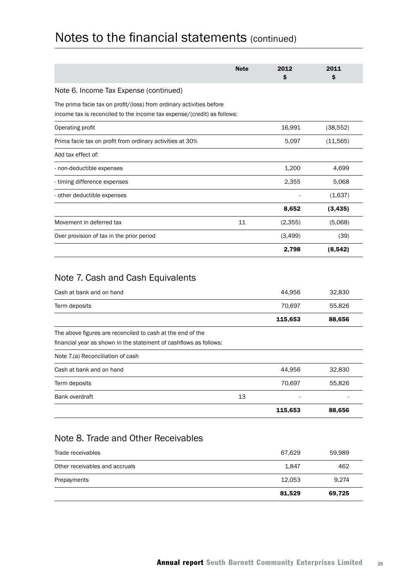|                                                                                                                                                 | <b>Note</b> | 2012<br>\$       | 2011<br>Ś        |
|-------------------------------------------------------------------------------------------------------------------------------------------------|-------------|------------------|------------------|
| Note 6. Income Tax Expense (continued)                                                                                                          |             |                  |                  |
| The prima facie tax on profit/(loss) from ordinary activities before<br>income tax is reconciled to the income tax expense/(credit) as follows: |             |                  |                  |
| Operating profit                                                                                                                                |             | 16,991           | (38, 552)        |
| Prima facie tax on profit from ordinary activities at 30%                                                                                       |             | 5,097            | (11, 565)        |
| Add tax effect of:                                                                                                                              |             |                  |                  |
| - non-deductible expenses                                                                                                                       |             | 1,200            | 4,699            |
| - timing difference expenses                                                                                                                    |             | 2,355            | 5,068            |
| - other deductible expenses                                                                                                                     |             |                  | (1,637)          |
|                                                                                                                                                 |             | 8,652            | (3, 435)         |
| Movement in deferred tax                                                                                                                        | 11          | (2,355)          | (5,068)          |
| Over provision of tax in the prior period                                                                                                       |             | (3, 499)         | (39)             |
|                                                                                                                                                 |             | 2,798            | (8, 542)         |
| Cash at bank and on hand<br>Term deposits                                                                                                       |             | 44,956<br>70,697 | 32,830<br>55,826 |
|                                                                                                                                                 |             | 115,653          | 88,656           |
| The above figures are reconciled to cash at the end of the<br>financial year as shown in the statement of cashflows as follows:                 |             |                  |                  |
| Note 7.(a) Reconciliation of cash                                                                                                               |             |                  |                  |
| Cash at bank and on hand                                                                                                                        |             | 44,956           | 32,830           |
| Term deposits                                                                                                                                   |             | 70,697           | 55,826           |
| Bank overdraft                                                                                                                                  | 13          |                  |                  |
|                                                                                                                                                 |             | 115,653          | 88,656           |
| Note 8. Trade and Other Receivables<br>Trade receivables                                                                                        |             | 67,629           | 59,989           |
| Other receivables and accruals                                                                                                                  |             | 1,847            | 462              |
| Prepayments                                                                                                                                     |             | 12,053           | 9,274            |
|                                                                                                                                                 |             | 81,529           | 69,725           |
|                                                                                                                                                 |             |                  |                  |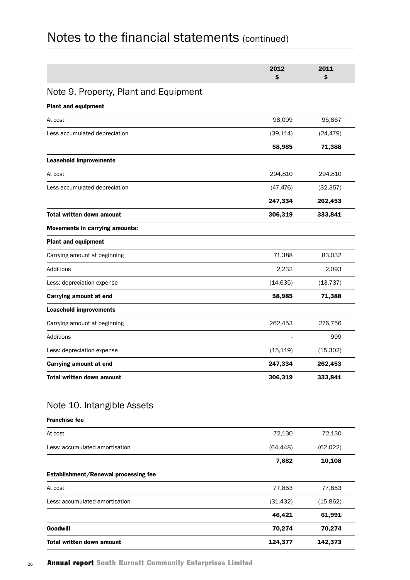|                                       | 2012<br>\$ | 2011<br>\$ |
|---------------------------------------|------------|------------|
| Note 9. Property, Plant and Equipment |            |            |
| <b>Plant and equipment</b>            |            |            |
| At cost                               | 98,099     | 95,867     |
| Less accumulated depreciation         | (39, 114)  | (24, 479)  |
|                                       | 58,985     | 71,388     |
| Leasehold improvements                |            |            |
| At cost                               | 294,810    | 294,810    |
| Less accumulated depreciation         | (47, 476)  | (32, 357)  |
|                                       | 247,334    | 262,453    |
| <b>Total written down amount</b>      | 306,319    | 333,841    |
| <b>Movements in carrying amounts:</b> |            |            |
| <b>Plant and equipment</b>            |            |            |
| Carrying amount at beginning          | 71,388     | 83,032     |
| Additions                             | 2,232      | 2,093      |
| Less: depreciation expense            | (14, 635)  | (13, 737)  |
| Carrying amount at end                | 58,985     | 71,388     |
| <b>Leasehold improvements</b>         |            |            |
| Carrying amount at beginning          | 262,453    | 276,756    |
| Additions                             |            | 999        |
| Less: depreciation expense            | (15, 119)  | (15, 302)  |
| Carrying amount at end                | 247,334    | 262,453    |
| <b>Total written down amount</b>      | 306,319    | 333,841    |

### Note 10. Intangible Assets

Franchise fee

| <b>Total written down amount</b>     | 124,377   | 142,373   |
|--------------------------------------|-----------|-----------|
| Goodwill                             | 70,274    | 70,274    |
|                                      | 46,421    | 61,991    |
| Less: accumulated amortisation       | (31, 432) | (15, 862) |
| At cost                              | 77,853    | 77,853    |
| Establishment/Renewal processing fee |           |           |
|                                      | 7,682     | 10,108    |
| Less: accumulated amortisation       | (64, 448) | (62,022)  |
| At cost                              | 72,130    | 72,130    |
|                                      |           |           |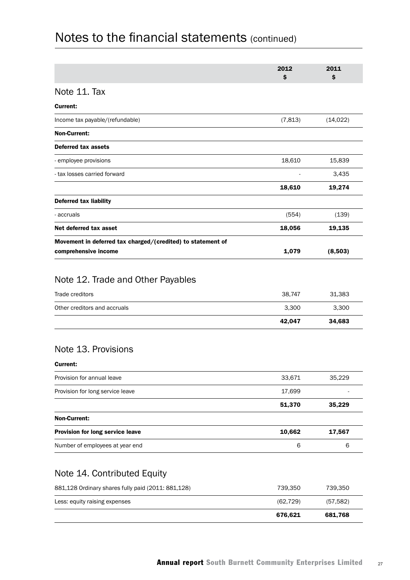|                                                                                     | 2012<br>\$ | 2011<br>\$ |
|-------------------------------------------------------------------------------------|------------|------------|
| Note 11. Tax                                                                        |            |            |
| Current:                                                                            |            |            |
| Income tax payable/(refundable)                                                     | (7, 813)   | (14, 022)  |
| <b>Non-Current:</b>                                                                 |            |            |
| <b>Deferred tax assets</b>                                                          |            |            |
| - employee provisions                                                               | 18,610     | 15,839     |
| - tax losses carried forward                                                        |            | 3,435      |
|                                                                                     | 18,610     | 19,274     |
| Deferred tax liability                                                              |            |            |
| - accruals                                                                          | (554)      | (139)      |
| Net deferred tax asset                                                              | 18,056     | 19,135     |
| Movement in deferred tax charged/(credited) to statement of<br>comprehensive income | 1,079      | (8,503)    |
| Note 12. Trade and Other Payables<br>Trade creditors                                | 38,747     | 31,383     |
| Other creditors and accruals                                                        | 3,300      | 3,300      |
|                                                                                     | 42,047     | 34,683     |
| Note 13. Provisions<br>Current:                                                     |            |            |
| Provision for annual leave                                                          | 33,671     | 35,229     |
| Provision for long service leave                                                    | 17,699     |            |
|                                                                                     | 51,370     | 35,229     |
| Non-Current:                                                                        |            |            |
| Provision for long service leave                                                    | 10,662     | 17,567     |
| Number of employees at year end                                                     | 6          | 6          |
|                                                                                     |            |            |

## Note 14. Contributed Equity

|                                                    | 676.621  | 681.768   |
|----------------------------------------------------|----------|-----------|
| Less: equity raising expenses                      | (62.729) | (57, 582) |
| 881,128 Ordinary shares fully paid (2011: 881,128) | 739.350  | 739.350   |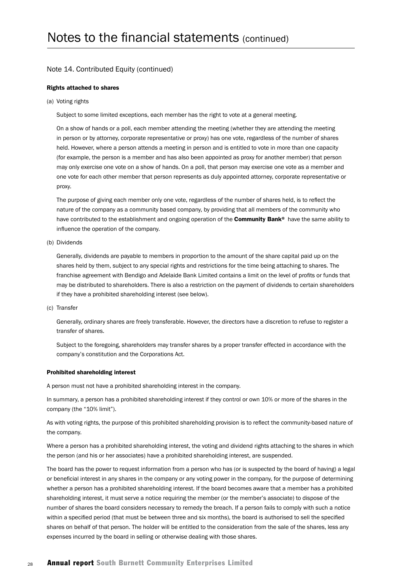#### Note 14. Contributed Equity (continued)

#### Rights attached to shares

(a) Voting rights

Subject to some limited exceptions, each member has the right to vote at a general meeting.

On a show of hands or a poll, each member attending the meeting (whether they are attending the meeting in person or by attorney, corporate representative or proxy) has one vote, regardless of the number of shares held. However, where a person attends a meeting in person and is entitled to vote in more than one capacity (for example, the person is a member and has also been appointed as proxy for another member) that person may only exercise one vote on a show of hands. On a poll, that person may exercise one vote as a member and one vote for each other member that person represents as duly appointed attorney, corporate representative or proxy.

The purpose of giving each member only one vote, regardless of the number of shares held, is to reflect the nature of the company as a community based company, by providing that all members of the community who have contributed to the establishment and ongoing operation of the **Community Bank®** have the same ability to influence the operation of the company.

(b) Dividends

Generally, dividends are payable to members in proportion to the amount of the share capital paid up on the shares held by them, subject to any special rights and restrictions for the time being attaching to shares. The franchise agreement with Bendigo and Adelaide Bank Limited contains a limit on the level of profits or funds that may be distributed to shareholders. There is also a restriction on the payment of dividends to certain shareholders if they have a prohibited shareholding interest (see below).

(c) Transfer

Generally, ordinary shares are freely transferable. However, the directors have a discretion to refuse to register a transfer of shares.

Subject to the foregoing, shareholders may transfer shares by a proper transfer effected in accordance with the company's constitution and the Corporations Act.

#### Prohibited shareholding interest

A person must not have a prohibited shareholding interest in the company.

In summary, a person has a prohibited shareholding interest if they control or own 10% or more of the shares in the company (the "10% limit").

As with voting rights, the purpose of this prohibited shareholding provision is to reflect the community-based nature of the company.

Where a person has a prohibited shareholding interest, the voting and dividend rights attaching to the shares in which the person (and his or her associates) have a prohibited shareholding interest, are suspended.

The board has the power to request information from a person who has (or is suspected by the board of having) a legal or beneficial interest in any shares in the company or any voting power in the company, for the purpose of determining whether a person has a prohibited shareholding interest. If the board becomes aware that a member has a prohibited shareholding interest, it must serve a notice requiring the member (or the member's associate) to dispose of the number of shares the board considers necessary to remedy the breach. If a person fails to comply with such a notice within a specified period (that must be between three and six months), the board is authorised to sell the specified shares on behalf of that person. The holder will be entitled to the consideration from the sale of the shares, less any expenses incurred by the board in selling or otherwise dealing with those shares.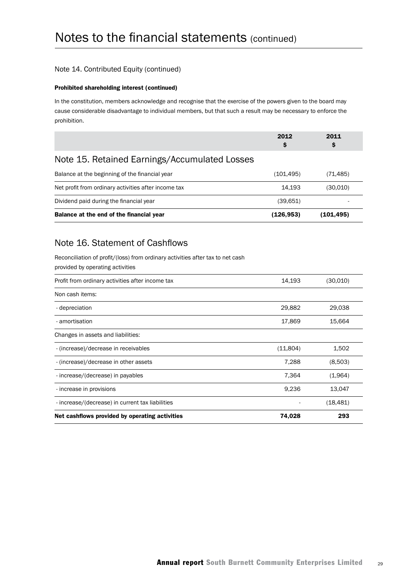#### Note 14. Contributed Equity (continued)

#### Prohibited shareholding interest (continued)

In the constitution, members acknowledge and recognise that the exercise of the powers given to the board may cause considerable disadvantage to individual members, but that such a result may be necessary to enforce the prohibition.

|                                                      | 2012<br>\$ | 2011<br>\$ |
|------------------------------------------------------|------------|------------|
| Note 15. Retained Earnings/Accumulated Losses        |            |            |
| Balance at the beginning of the financial year       | (101, 495) | (71, 485)  |
| Net profit from ordinary activities after income tax | 14,193     | (30,010)   |
| Dividend paid during the financial year              | (39,651)   |            |
| Balance at the end of the financial year             | (126, 953) | (101,495)  |
| Note 16. Statement of Cashflows                      |            |            |

Reconciliation of profit/(loss) from ordinary activities after tax to net cash provided by operating activities

| Profit from ordinary activities after income tax | 14,193   | (30,010)  |
|--------------------------------------------------|----------|-----------|
| Non cash items:                                  |          |           |
| - depreciation                                   | 29,882   | 29,038    |
| - amortisation                                   | 17,869   | 15,664    |
| Changes in assets and liabilities:               |          |           |
| - (increase)/decrease in receivables             | (11,804) | 1,502     |
| - (increase)/decrease in other assets            | 7,288    | (8,503)   |
| - increase/(decrease) in payables                | 7.364    | (1,964)   |
| - increase in provisions                         | 9,236    | 13,047    |
| - increase/(decrease) in current tax liabilities |          | (18, 481) |
| Net cashflows provided by operating activities   | 74,028   | 293       |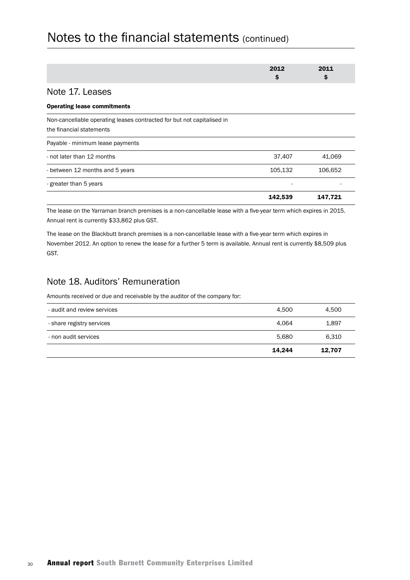|                                                                                                    | 2012<br>\$ | 2011<br>\$ |
|----------------------------------------------------------------------------------------------------|------------|------------|
| Note 17. Leases                                                                                    |            |            |
| <b>Operating lease commitments</b>                                                                 |            |            |
| Non-cancellable operating leases contracted for but not capitalised in<br>the financial statements |            |            |
| Payable - minimum lease payments                                                                   |            |            |
| - not later than 12 months                                                                         | 37,407     | 41,069     |
| - between 12 months and 5 years                                                                    | 105,132    | 106,652    |
| - greater than 5 years                                                                             | ۰          |            |
|                                                                                                    | 142,539    | 147,721    |

The lease on the Yarraman branch premises is a non-cancellable lease with a five-year term which expires in 2015. Annual rent is currently \$33,862 plus GST.

The lease on the Blackbutt branch premises is a non-cancellable lease with a five-year term which expires in November 2012. An option to renew the lease for a further 5 term is available. Annual rent is currently \$8,509 plus GST.

### Note 18. Auditors' Remuneration

Amounts received or due and receivable by the auditor of the company for:

|                             | 14.244 | 12.707 |
|-----------------------------|--------|--------|
| - non audit services        | 5.680  | 6,310  |
| - share registry services   | 4.064  | 1.897  |
| - audit and review services | 4.500  | 4.500  |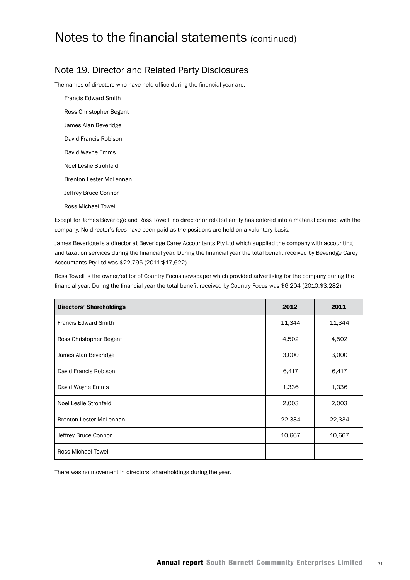### Note 19. Director and Related Party Disclosures

The names of directors who have held office during the financial year are:

Francis Edward Smith Ross Christopher Begent James Alan Beveridge David Francis Robison David Wayne Emms Noel Leslie Strohfeld Brenton Lester McLennan Jeffrey Bruce Connor Ross Michael Towell

Except for James Beveridge and Ross Towell, no director or related entity has entered into a material contract with the company. No director's fees have been paid as the positions are held on a voluntary basis.

James Beveridge is a director at Beveridge Carey Accountants Pty Ltd which supplied the company with accounting and taxation services during the financial year. During the financial year the total benefit received by Beveridge Carey Accountants Pty Ltd was \$22,795 (2011:\$17,622).

Ross Towell is the owner/editor of Country Focus newspaper which provided advertising for the company during the financial year. During the financial year the total benefit received by Country Focus was \$6,204 (2010:\$3,282).

| <b>Directors' Shareholdings</b> | 2012   | 2011   |
|---------------------------------|--------|--------|
| <b>Francis Edward Smith</b>     | 11,344 | 11,344 |
| Ross Christopher Begent         | 4,502  | 4,502  |
| James Alan Beveridge            | 3,000  | 3,000  |
| David Francis Robison           | 6,417  | 6,417  |
| David Wayne Emms                | 1,336  | 1,336  |
| Noel Leslie Strohfeld           | 2,003  | 2,003  |
| <b>Brenton Lester McLennan</b>  | 22,334 | 22,334 |
| Jeffrey Bruce Connor            | 10,667 | 10,667 |
| <b>Ross Michael Towell</b>      |        |        |

There was no movement in directors' shareholdings during the year.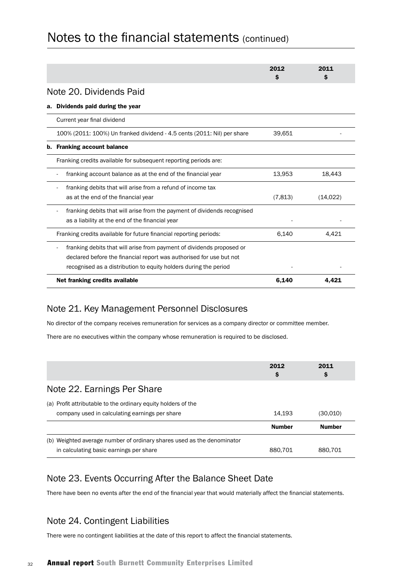|                                                                          | 2012<br>s | 2011<br>Ŝ |
|--------------------------------------------------------------------------|-----------|-----------|
| Note 20. Dividends Paid                                                  |           |           |
| Dividends paid during the year<br>а.                                     |           |           |
| Current year final dividend                                              |           |           |
| 100% (2011: 100%) Un franked dividend - 4.5 cents (2011: Nil) per share  | 39,651    |           |
| <b>Franking account balance</b><br>b.                                    |           |           |
| Franking credits available for subsequent reporting periods are:         |           |           |
| franking account balance as at the end of the financial year             | 13,953    | 18.443    |
| franking debits that will arise from a refund of income tax              |           |           |
| as at the end of the financial year                                      | (7,813)   | (14, 022) |
| franking debits that will arise from the payment of dividends recognised |           |           |
| as a liability at the end of the financial year                          |           |           |
| Franking credits available for future financial reporting periods:       | 6,140     | 4.421     |
| franking debits that will arise from payment of dividends proposed or    |           |           |
| declared before the financial report was authorised for use but not      |           |           |
| recognised as a distribution to equity holders during the period         |           |           |
| Net franking credits available                                           | 6,140     | 4.421     |

### Note 21. Key Management Personnel Disclosures

No director of the company receives remuneration for services as a company director or committee member.

There are no executives within the company whose remuneration is required to be disclosed.

|                                                                                                                      | 2012<br>\$    | 2011<br>\$    |
|----------------------------------------------------------------------------------------------------------------------|---------------|---------------|
| Note 22. Earnings Per Share                                                                                          |               |               |
| (a) Profit attributable to the ordinary equity holders of the<br>company used in calculating earnings per share      | 14.193        | (30.010)      |
|                                                                                                                      | <b>Number</b> | <b>Number</b> |
| Weighted average number of ordinary shares used as the denominator<br>(b)<br>in calculating basic earnings per share | 880.701       | 880.701       |

## Note 23. Events Occurring After the Balance Sheet Date

There have been no events after the end of the financial year that would materially affect the financial statements.

## Note 24. Contingent Liabilities

There were no contingent liabilities at the date of this report to affect the financial statements.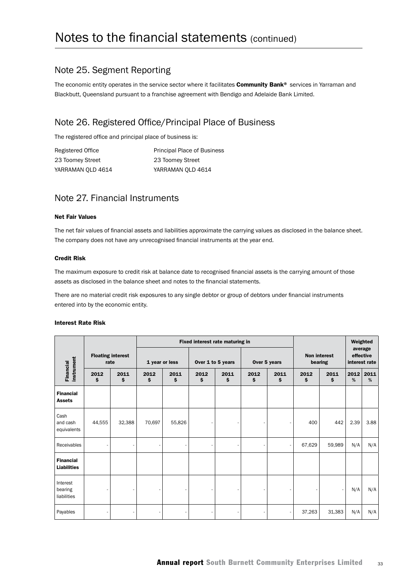### Note 25. Segment Reporting

The economic entity operates in the service sector where it facilitates Community Bank® services in Yarraman and Blackbutt, Queensland pursuant to a franchise agreement with Bendigo and Adelaide Bank Limited.

## Note 26. Registered Office/Principal Place of Business

The registered office and principal place of business is:

| Registered Office | <b>Principal Place of Business</b> |
|-------------------|------------------------------------|
| 23 Toomey Street  | 23 Toomey Street                   |
| YARRAMAN OLD 4614 | YARRAMAN OLD 4614                  |

### Note 27. Financial Instruments

#### Net Fair Values

The net fair values of financial assets and liabilities approximate the carrying values as disclosed in the balance sheet. The company does not have any unrecognised financial instruments at the year end.

#### Credit Risk

The maximum exposure to credit risk at balance date to recognised financial assets is the carrying amount of those assets as disclosed in the balance sheet and notes to the financial statements.

There are no material credit risk exposures to any single debtor or group of debtors under financial instruments entered into by the economic entity.

| <b>Interest Rate Risk</b> |  |
|---------------------------|--|
|                           |  |

|                                        |            |                          |            |                |             | Fixed interest rate maturing in |                          |              |                                | Weighted   |                                       |           |
|----------------------------------------|------------|--------------------------|------------|----------------|-------------|---------------------------------|--------------------------|--------------|--------------------------------|------------|---------------------------------------|-----------|
|                                        | rate       | <b>Floating interest</b> |            | 1 year or less |             | Over 1 to 5 years               |                          | Over 5 years | <b>Non interest</b><br>bearing |            | average<br>effective<br>interest rate |           |
| instrument<br>Financial                | 2012<br>\$ | 2011<br>\$.              | 2012<br>\$ | 2011<br>\$.    | 2012<br>\$. | 2011<br>\$                      | 2012<br>2011<br>\$<br>\$ |              | 2012<br>\$                     | 2011<br>\$ | 2012<br>%                             | 2011<br>% |
| <b>Financial</b><br><b>Assets</b>      |            |                          |            |                |             |                                 |                          |              |                                |            |                                       |           |
| Cash<br>and cash<br>equivalents        | 44,555     | 32,388                   | 70,697     | 55,826         |             |                                 |                          | ٠            | 400                            | 442        | 2.39                                  | 3.88      |
| Receivables                            |            |                          |            |                |             |                                 |                          | $\sim$       | 67,629                         | 59,989     | N/A                                   | N/A       |
| <b>Financial</b><br><b>Liabilities</b> |            |                          |            |                |             |                                 |                          |              |                                |            |                                       |           |
| Interest<br>bearing<br>liabilities     |            |                          |            |                |             |                                 |                          |              |                                |            | N/A                                   | N/A       |
| Payables                               |            |                          |            |                |             |                                 |                          | ٠            | 37,263                         | 31,383     | N/A                                   | N/A       |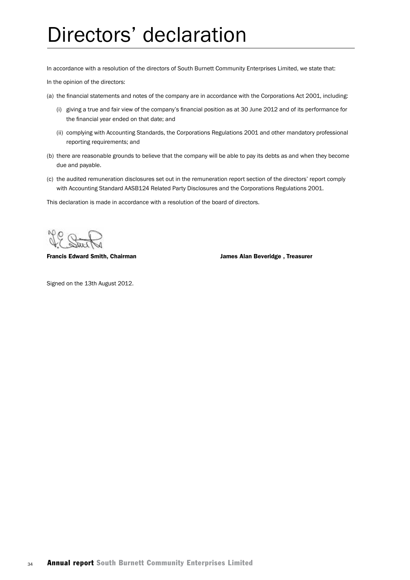## Directors' declaration

In accordance with a resolution of the directors of South Burnett Community Enterprises Limited, we state that: In the opinion of the directors:

- (a) the financial statements and notes of the company are in accordance with the Corporations Act 2001, including:
	- (i) giving a true and fair view of the company's financial position as at 30 June 2012 and of its performance for the financial year ended on that date; and
	- (ii) complying with Accounting Standards, the Corporations Regulations 2001 and other mandatory professional reporting requirements; and
- (b) there are reasonable grounds to believe that the company will be able to pay its debts as and when they become due and payable.
- (c) the audited remuneration disclosures set out in the remuneration report section of the directors' report comply with Accounting Standard AASB124 Related Party Disclosures and the Corporations Regulations 2001.

This declaration is made in accordance with a resolution of the board of directors.

Francis Edward Smith, Chairman James Alan Beveridge , Treasurer

Signed on the 13th August 2012.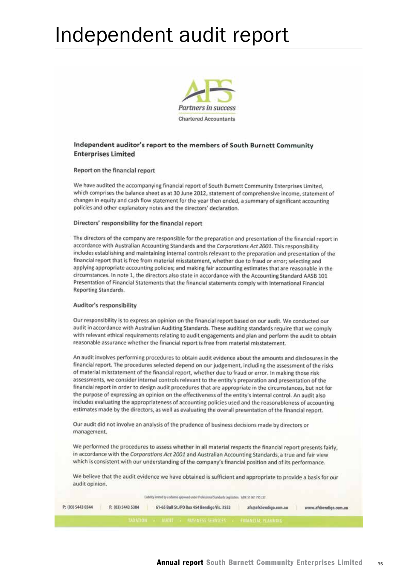## Independent audit report



#### Independent auditor's report to the members of South Burnett Community **Enterprises Limited**

#### Report on the financial report

We have audited the accompanying financial report of South Burnett Community Enterprises Limited. which comprises the balance sheet as at 30 June 2012, statement of comprehensive income, statement of changes in equity and cash flow statement for the year then ended, a summary of significant accounting policies and other explanatory notes and the directors' declaration.

#### Directors' responsibility for the financial report

The directors of the company are responsible for the preparation and presentation of the financial report in accordance with Australian Accounting Standards and the Corporations Act 2001. This responsibility includes establishing and maintaining internal controls relevant to the preparation and presentation of the financial report that is free from material misstatement, whether due to fraud or error; selecting and applying appropriate accounting policies; and making fair accounting estimates that are reasonable in the circumstances. In note 1, the directors also state in accordance with the Accounting Standard AASB 101 Presentation of Financial Statements that the financial statements comply with International Financial **Reporting Standards.** 

#### Auditor's responsibility

Our responsibility is to express an opinion on the financial report based on our audit. We conducted our audit in accordance with Australian Auditing Standards. These auditing standards require that we comply with relevant ethical requirements relating to audit engagements and plan and perform the audit to obtain reasonable assurance whether the financial report is free from material misstatement.

An audit involves performing procedures to obtain audit evidence about the amounts and disclosures in the financial report. The procedures selected depend on our judgement, including the assessment of the risks of material misstatement of the financial report, whether due to fraud or error. In making those risk assessments, we consider internal controls relevant to the entity's preparation and presentation of the financial report in order to design audit procedures that are appropriate in the circumstances, but not for the purpose of expressing an opinion on the effectiveness of the entity's internal control. An audit also includes evaluating the appropriateness of accounting policies used and the reasonableness of accounting estimates made by the directors, as well as evaluating the overall presentation of the financial report.

Our audit did not involve an analysis of the prudence of business decisions made by directors or management.

We performed the procedures to assess whether in all material respects the financial report presents fairly, in accordance with the Corporations Act 2001 and Australian Accounting Standards, a true and fair view which is consistent with our understanding of the company's financial position and of its performance.

We believe that the audit evidence we have obtained is sufficient and appropriate to provide a basis for our audit opinion.

Liability Smited by a scheme approved under Professional Standards Legislation. ABIE 51 061 795 337.

| P: (03) 5443 0344 | F: (03) 5443 5304 | 61-65 Bull St./PO Box 454 Bendigo Vic. 3552    | afs@afsbendigo.com.au | www.afsbendigo.com.au |
|-------------------|-------------------|------------------------------------------------|-----------------------|-----------------------|
|                   |                   | AUDIE - BUSINESS SERVILES - FINANCIAL PLANNING |                       |                       |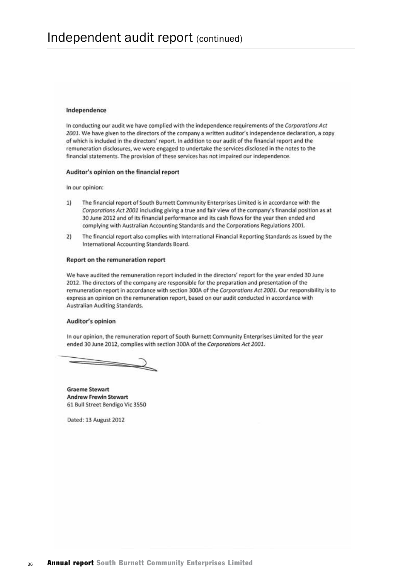#### Independence

In conducting our audit we have complied with the independence requirements of the Corporations Act 2001. We have given to the directors of the company a written auditor's independence declaration, a copy of which is included in the directors' report. In addition to our audit of the financial report and the remuneration disclosures, we were engaged to undertake the services disclosed in the notes to the financial statements. The provision of these services has not impaired our independence.

#### Auditor's opinion on the financial report

In our opinion:

- The financial report of South Burnett Community Enterprises Limited is in accordance with the  $11$ Corporations Act 2001 including giving a true and fair view of the company's financial position as at 30 June 2012 and of its financial performance and its cash flows for the year then ended and complying with Australian Accounting Standards and the Corporations Regulations 2001.
- The financial report also complies with International Financial Reporting Standards as issued by the  $2)$ International Accounting Standards Board.

#### Report on the remuneration report

We have audited the remuneration report included in the directors' report for the year ended 30 June 2012. The directors of the company are responsible for the preparation and presentation of the remuneration report in accordance with section 300A of the Corporations Act 2001. Our responsibility is to express an opinion on the remuneration report, based on our audit conducted in accordance with Australian Auditing Standards.

#### Auditor's opinion

In our opinion, the remuneration report of South Burnett Community Enterprises Limited for the year ended 30 June 2012, complies with section 300A of the Corporations Act 2001.

**Graeme Stewart Andrew Frewin Stewart** 61 Bull Street Bendigo Vic 3550

Dated: 13 August 2012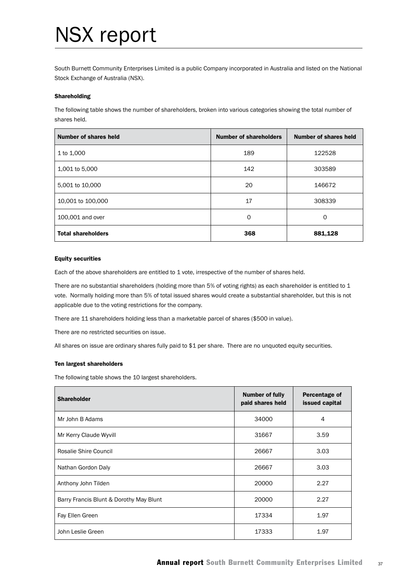## NSX report

South Burnett Community Enterprises Limited is a public Company incorporated in Australia and listed on the National Stock Exchange of Australia (NSX).

#### Shareholding

The following table shows the number of shareholders, broken into various categories showing the total number of shares held.

| Number of shares held     | <b>Number of shareholders</b> | Number of shares held |
|---------------------------|-------------------------------|-----------------------|
| 1 to 1,000                | 189                           | 122528                |
| 1,001 to 5,000            | 142                           | 303589                |
| 5,001 to 10,000           | 20                            | 146672                |
| 10,001 to 100,000         | 17                            | 308339                |
| 100,001 and over          | 0                             | $\Omega$              |
| <b>Total shareholders</b> | 368                           | 881,128               |

#### Equity securities

Each of the above shareholders are entitled to 1 vote, irrespective of the number of shares held.

There are no substantial shareholders (holding more than 5% of voting rights) as each shareholder is entitled to 1 vote. Normally holding more than 5% of total issued shares would create a substantial shareholder, but this is not applicable due to the voting restrictions for the company.

There are 11 shareholders holding less than a marketable parcel of shares (\$500 in value).

There are no restricted securities on issue.

All shares on issue are ordinary shares fully paid to \$1 per share. There are no unquoted equity securities.

#### Ten largest shareholders

The following table shows the 10 largest shareholders.

| <b>Shareholder</b>                      | <b>Number of fully</b><br>paid shares held | Percentage of<br>issued capital |  |
|-----------------------------------------|--------------------------------------------|---------------------------------|--|
| Mr John B Adams                         | 34000                                      | 4                               |  |
| Mr Kerry Claude Wyvill                  | 31667                                      | 3.59                            |  |
| Rosalie Shire Council                   | 26667                                      | 3.03                            |  |
| Nathan Gordon Daly                      | 26667                                      | 3.03                            |  |
| Anthony John Tilden                     | 20000                                      | 2.27                            |  |
| Barry Francis Blunt & Dorothy May Blunt | 20000                                      | 2.27                            |  |
| Fay Ellen Green                         | 17334                                      | 1.97                            |  |
| John Leslie Green                       | 17333                                      | 1.97                            |  |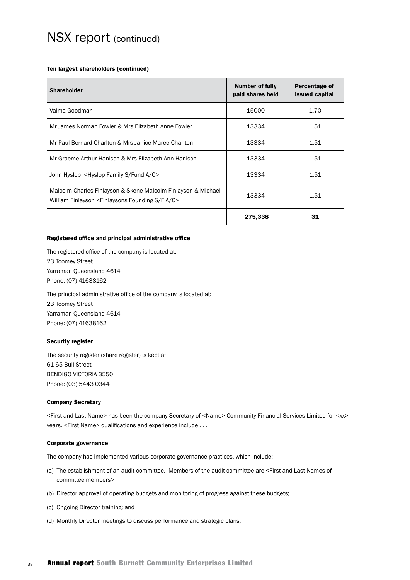#### Ten largest shareholders (continued)

| <b>Shareholder</b>                                                                                                                           | Number of fully<br>paid shares held | Percentage of<br>issued capital |
|----------------------------------------------------------------------------------------------------------------------------------------------|-------------------------------------|---------------------------------|
| Valma Goodman                                                                                                                                | 15000                               | 1.70                            |
| Mr James Norman Fowler & Mrs Elizabeth Anne Fowler                                                                                           | 13334                               | 1.51                            |
| Mr Paul Bernard Charlton & Mrs Janice Maree Charlton                                                                                         | 13334                               | 1.51                            |
| Mr Graeme Arthur Hanisch & Mrs Elizabeth Ann Hanisch                                                                                         | 13334                               | 1.51                            |
| John Hyslop <hyslop a="" c="" family="" fund="" s=""></hyslop>                                                                               | 13334                               | 1.51                            |
| Malcolm Charles Finlayson & Skene Malcolm Finlayson & Michael<br>William Finlayson <finlaysons a="" c="" f="" founding="" s=""></finlaysons> | 13334                               | 1.51                            |
|                                                                                                                                              | 275,338                             | 31                              |

#### Registered office and principal administrative office

The registered office of the company is located at: 23 Toomey Street Yarraman Queensland 4614 Phone: (07) 41638162

The principal administrative office of the company is located at: 23 Toomey Street Yarraman Queensland 4614 Phone: (07) 41638162

#### Security register

The security register (share register) is kept at: 61-65 Bull Street BENDIGO VICTORIA 3550 Phone: (03) 5443 0344

#### Company Secretary

<First and Last Name> has been the company Secretary of <Name> Community Financial Services Limited for <xx> years. <First Name> qualifications and experience include . . .

#### Corporate governance

The company has implemented various corporate governance practices, which include:

- (a) The establishment of an audit committee. Members of the audit committee are <First and Last Names of committee members>
- (b) Director approval of operating budgets and monitoring of progress against these budgets;
- (c) Ongoing Director training; and
- (d) Monthly Director meetings to discuss performance and strategic plans.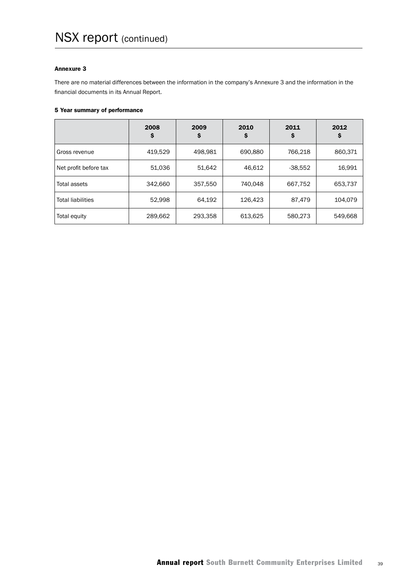#### Annexure 3

There are no material differences between the information in the company's Annexure 3 and the information in the financial documents in its Annual Report.

#### 5 Year summary of performance

|                          | 2008<br>\$ | 2009<br>S | 2010<br>\$ | 2011<br>Ş | 2012<br>Ş |
|--------------------------|------------|-----------|------------|-----------|-----------|
| Gross revenue            | 419,529    | 498,981   | 690,880    | 766,218   | 860,371   |
| Net profit before tax    | 51,036     | 51,642    | 46,612     | $-38,552$ | 16,991    |
| Total assets             | 342,660    | 357,550   | 740.048    | 667,752   | 653,737   |
| <b>Total liabilities</b> | 52,998     | 64.192    | 126.423    | 87,479    | 104,079   |
| Total equity             | 289,662    | 293,358   | 613,625    | 580,273   | 549,668   |